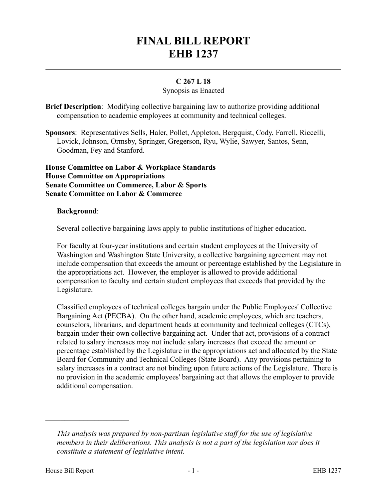# **FINAL BILL REPORT EHB 1237**

## **C 267 L 18**

## Synopsis as Enacted

**Brief Description**: Modifying collective bargaining law to authorize providing additional compensation to academic employees at community and technical colleges.

**Sponsors**: Representatives Sells, Haler, Pollet, Appleton, Bergquist, Cody, Farrell, Riccelli, Lovick, Johnson, Ormsby, Springer, Gregerson, Ryu, Wylie, Sawyer, Santos, Senn, Goodman, Fey and Stanford.

**House Committee on Labor & Workplace Standards House Committee on Appropriations Senate Committee on Commerce, Labor & Sports Senate Committee on Labor & Commerce**

#### **Background**:

Several collective bargaining laws apply to public institutions of higher education.

For faculty at four-year institutions and certain student employees at the University of Washington and Washington State University, a collective bargaining agreement may not include compensation that exceeds the amount or percentage established by the Legislature in the appropriations act. However, the employer is allowed to provide additional compensation to faculty and certain student employees that exceeds that provided by the Legislature.

Classified employees of technical colleges bargain under the Public Employees' Collective Bargaining Act (PECBA). On the other hand, academic employees, which are teachers, counselors, librarians, and department heads at community and technical colleges (CTCs), bargain under their own collective bargaining act. Under that act, provisions of a contract related to salary increases may not include salary increases that exceed the amount or percentage established by the Legislature in the appropriations act and allocated by the State Board for Community and Technical Colleges (State Board). Any provisions pertaining to salary increases in a contract are not binding upon future actions of the Legislature. There is no provision in the academic employees' bargaining act that allows the employer to provide additional compensation.

––––––––––––––––––––––

*This analysis was prepared by non-partisan legislative staff for the use of legislative members in their deliberations. This analysis is not a part of the legislation nor does it constitute a statement of legislative intent.*